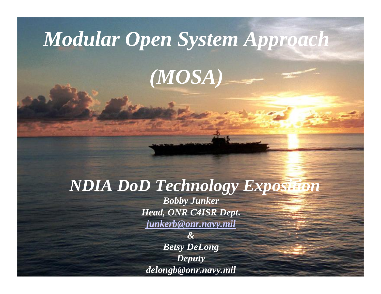# *Modular Open System Approach*

*(MOSA)*

#### *NDIA DoD Technology Exposition*

*Bobby Junker Head, ONR C4ISR Dept. [junkerb@onr.navy.mil](mailto:junkerb@onr.navy.mil)*

*&Betsy DeLong Deputy delongb@onr.navy.mil*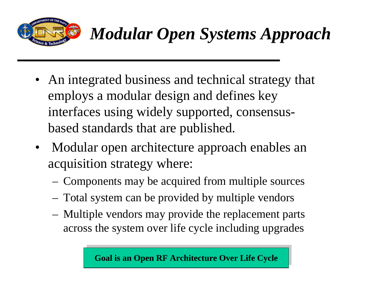

- An integrated business and technical strategy that employs a modular design and defines key interfaces using widely supported, consensusbased standards that are published.
- Modular open architecture approach enables an acquisition strategy where:
	- Components may be acquired from multiple sources
	- Total system can be provided by multiple vendors
	- Multiple vendors may provide the replacement parts across the system over life cycle including upgrades

**Goal is an Open RF Architecture Over Life Cycle**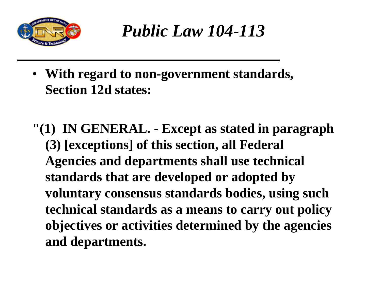

*Public Law 104-113*

• **With regard to non-government standards, Section 12d states:**

**"(1) IN GENERAL. - Except as stated in paragraph (3) [exceptions] of this section, all Federal Agencies and departments shall use technical standards that are developed or adopted by voluntary consensus standards bodies, using such technical standards as a means to carry out policy objectives or activities determined by the agencies and departments.**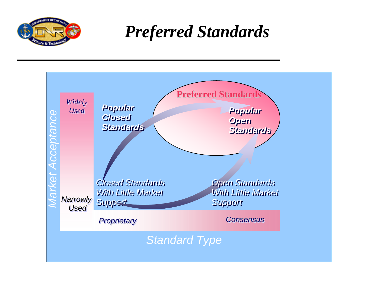

*Preferred Standards*

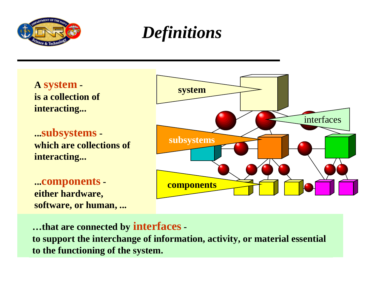

#### *Definitions*

**A system is a collection of interacting...** 

**...subsystems which are collections of interacting...** 

**...components either hardware, software, or human, ...**



**…that are connected by interfaces to support the interchange of information, activity, or material essential to the functioning of the system.**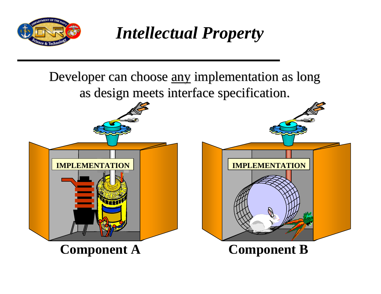

*Intellectual Property*

Developer can choose <u>any</u> implementation as long as design meets interface specification.



**Component A Component B**

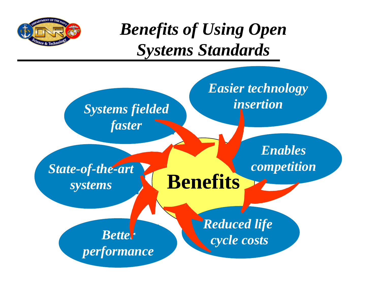

#### *Benefits of Using Open Systems Standards*

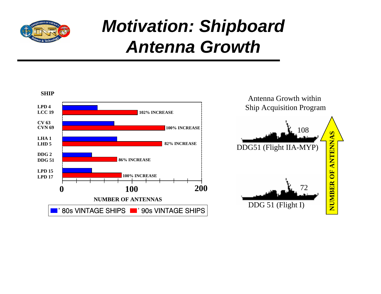

## *Motivation: Shipboard Antenna Growth*

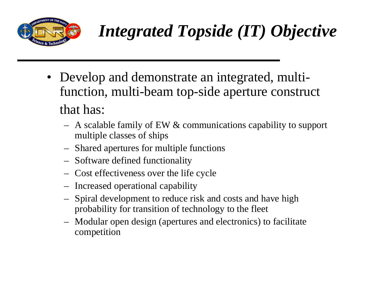

# *Integrated Topside (IT) Objective*

- Develop and demonstrate an integrated, multifunction, multi-beam top-side aperture construct that has:
	- A scalable family of EW & communications capability to support multiple classes of ships
	- Shared apertures for multiple functions
	- Software defined functionality
	- Cost effectiveness over the life cycle
	- Increased operational capability
	- Spiral development to reduce risk and costs and have high probability for transition of technology to the fleet
	- Modular open design (apertures and electronics) to facilitate competition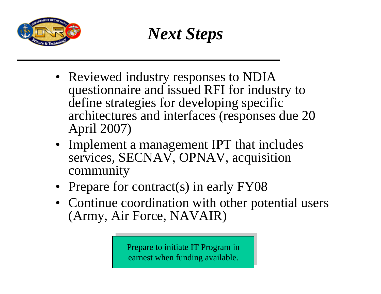

*Next Steps*

- Reviewed industry responses to NDIA questionnaire and issued RFI for industry to define strategies for developing specific architectures and interfaces (responses due 20 April 2007)
- Implement a management IPT that includes services, SECNAV, OPNAV, acquisition community
- Prepare for contract(s) in early FY08
- Continue coordination with other potential users (Army, Air Force, NAVAIR)

earnest when funding available. Prepare to initiate IT Program in<br>earnest when funding available.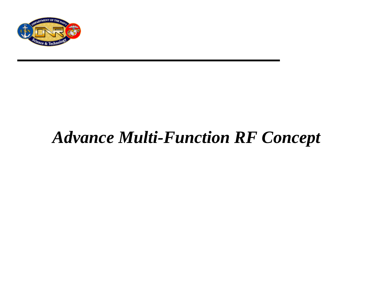

#### *Advance Multi-Function RF Concept*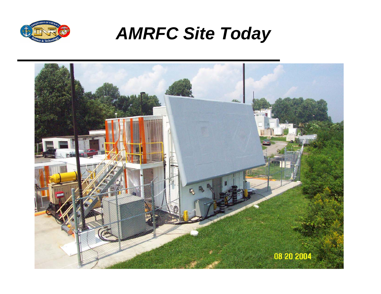

#### *AMRFC Site Today*

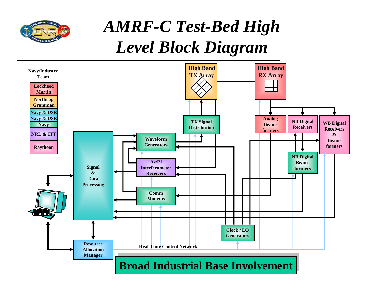

#### *AMRF-C Test-Bed High Level Block Diagram*

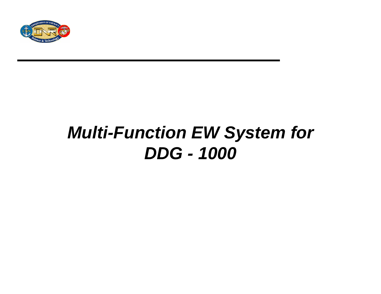

## *Multi-Function EW System for DDG - 1000*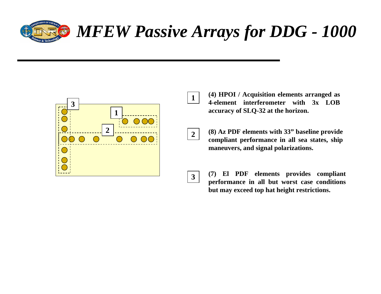

## *MFEW Passive Arrays for DDG - 1000*



 **(4) HPOI / Acquisition elements arranged as 4-element interferometer with 3x LOB accuracy of SLQ-32 at the horizon.**

**2**

**1**

 **(8) Az PDF elements with 33" baseline provide compliant performance in all sea states, ship maneuvers, and signal polarizations.**

**3**

 **(7) El PDF elements provides compliant performance in all but worst case conditions but may exceed top hat height restrictions.**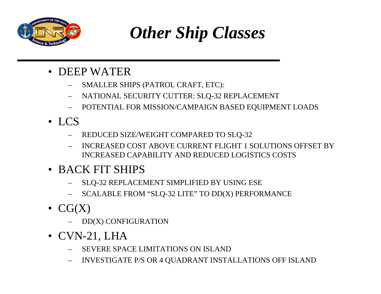

*Other Ship Classes*

- DEEP WATER
	- SMALLER SHIPS (PATROL CRAFT, ETC):
	- NATIONAL SECURITY CUTTER: SLQ-32 REPLACEMENT
	- POTENTIAL FOR MISSION/CAMPAIGN BASED EQUIPMENT LOADS
- LCS
	- REDUCED SIZE/WEIGHT COMPARED TO SLQ-32
	- INCREASED COST ABOVE CURRENT FLIGHT 1 SOLUTIONS OFFSET BY INCREASED CAPABILITY AND REDUCED LOGISTICS COSTS
- BACK FIT SHIPS
	- SLQ-32 REPLACEMENT SIMPLIFIED BY USING ESE
	- SCALABLE FROM "SLQ-32 LITE" TO DD(X) PERFORMANCE
- $\bullet$  CG(X)
	- DD(X) CONFIGURATION
- CVN-21, LHA
	- SEVERE SPACE LIMITATIONS ON ISLAND
	- INVESTIGATE P/S OR 4 QUADRANT INSTALLATIONS OFF ISLAND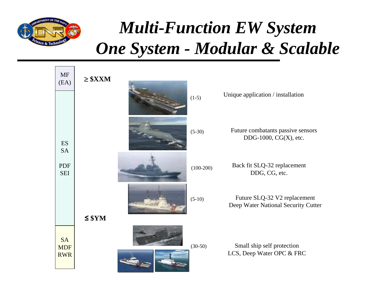

#### *Multi-Function EW System One System - Modular & Scalable*

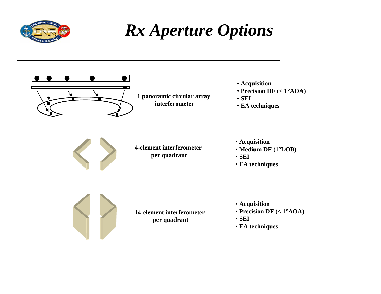

#### *Rx Aperture Options*



- **Acquisition**
- **Precision DF (< 1**°**AOA)**
- **SEI**
- **EA techniques**

- **Acquisition**
- **Medium DF (1**°**LOB)**
- **SEI**
- **EA techniques**

- **Acquisition**
- **Precision DF (< 1**°**AOA)**
- **SEI**
- **EA techniques**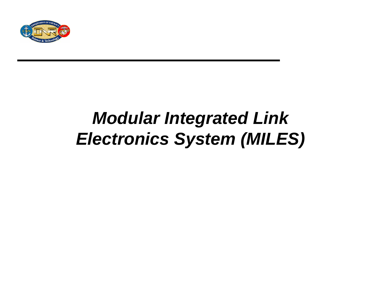

## *Modular Integrated Link Electronics System (MILES)*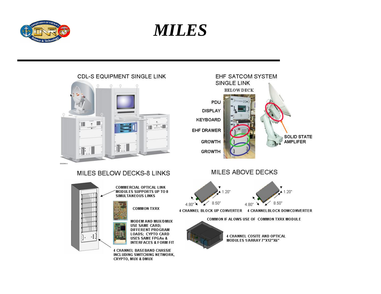

*MILES*

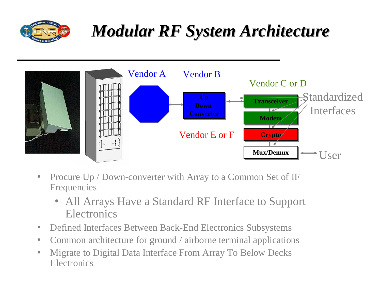

## *Modular RF System Architecture Modular RF System Architecture*



- Procure Up / Down-converter with Array to a Common Set of IF Frequencies
	- All Arrays Have a Standard RF Interface to Support **Electronics**
- Defined Interfaces Between Back-End Electronics Subsystems
- Common architecture for ground / airborne terminal applications
- Migrate to Digital Data Interface From Array To Below Decks **Electronics**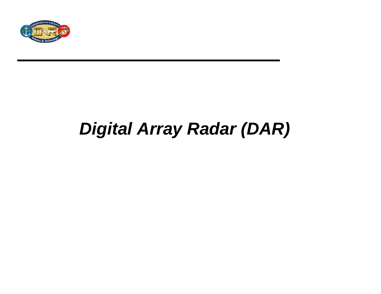

## *Digital Array Radar (DAR)*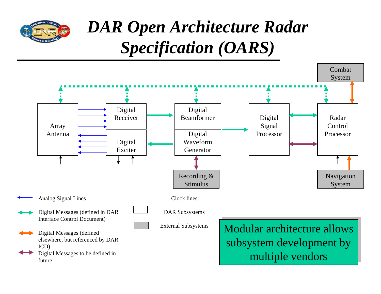

## *DAR Open Architecture Radar Specification (OARS)*